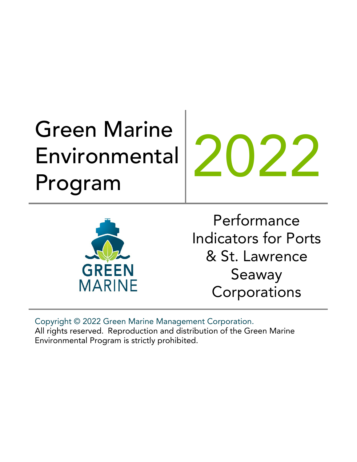# Green Marine Environmental Environmental 2022<br>Program

**GREEN** 

**MARINE** 

Performance Indicators for Ports & St. Lawrence Seaway **Corporations** 

Copyright © 2022 Green Marine Management Corporation. All rights reserved. Reproduction and distribution of the Green Marine Environmental Program is strictly prohibited.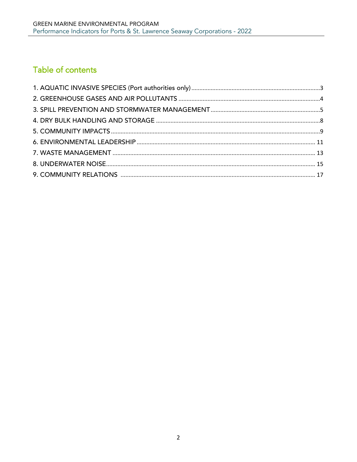# Table of contents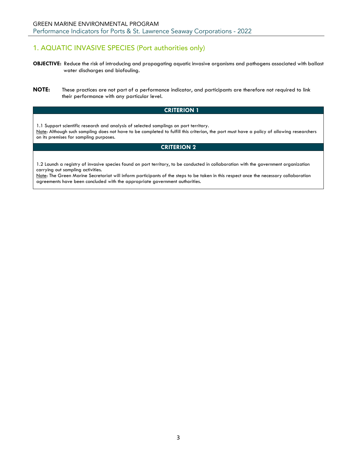# <span id="page-2-0"></span>1. AQUATIC INVASIVE SPECIES (Port authorities only)

- **OBJECTIVE:** Reduce the risk of introducing and propagating aquatic invasive organisms and pathogens associated with ballast water discharges and biofouling.
- **NOTE:** These practices are not part of a performance indicator, and participants are therefore not required to link their performance with any particular level.

# **CRITERION 1**

1.1 Support scientific research and analysis of selected samplings on port territory. Note: Although such sampling does not have to be completed to fulfill this criterion, the port must have a policy of allowing researchers on its premises for sampling purposes.

# **CRITERION 2**

1.2 Launch a registry of invasive species found on port territory, to be conducted in collaboration with the government organization carrying out sampling activities.

Note: The Green Marine Secretariat will inform participants of the steps to be taken in this respect once the necessary collaboration agreements have been concluded with the appropriate government authorities.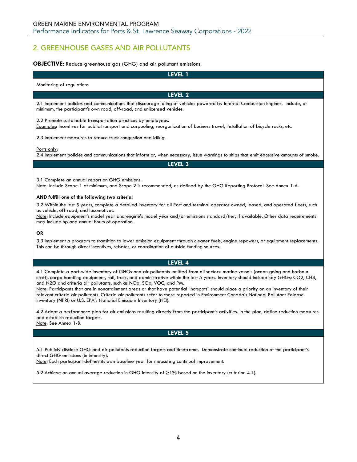# <span id="page-3-0"></span>2. GREENHOUSE GASES AND AIR POLLUTANTS

# **OBJECTIVE:** Reduce greenhouse gas (GHG) and air pollutant emissions.

| LEVEL 1                                                                                                                                                                                                     |
|-------------------------------------------------------------------------------------------------------------------------------------------------------------------------------------------------------------|
| Monitoring of regulations                                                                                                                                                                                   |
| LEVEL 2                                                                                                                                                                                                     |
| 2.1 Implement policies and communications that discourage idling of vehicles powered by Internal Combustion Engines. Include, at<br>minimum, the participant's own road, off-road, and unlicensed vehicles. |
| 2.2 Promote sustainable transportation practices by employees.<br>Examples: Incentives for public transport and carpooling, reorganization of business travel, installation of bicycle racks, etc.          |
| 2.3 Implement measures to reduce truck congestion and idling.                                                                                                                                               |
| Ports only:<br>2.4 Implement policies and communications that inform or, when necessary, issue warnings to ships that emit excessive amounts of smoke.                                                      |
| LEVEL <sub>3</sub>                                                                                                                                                                                          |
| 3.1 Complete an annual report on GHG emissions.<br>Note: Include Scope 1 at minimum, and Scope 2 is recommended, as defined by the GHG Reporting Protocol. See Annex 1-A.                                   |

#### **AND fulfill one of the following two criteria:**

3.2 Within the last 5 years, complete a detailed inventory for all Port and terminal operator owned, leased, and operated fleets, such as vehicle, off-road, and locomotives.

Note: Include equipment's model year and engine's model year and/or emissions standard/tier, if available. Other data requirements may include hp and annual hours of operation.

## **OR**

3.3 Implement a program to transition to lower emission equipment through cleaner fuels, engine repowers, or equipment replacements. This can be through direct incentives, rebates, or coordination of outside funding sources.

## **LEVEL 4**

4.1 Complete a port-wide inventory of GHGs and air pollutants emitted from all sectors: marine vessels (ocean going and harbour craft), cargo handling equipment, rail, truck, and administrative within the last 5 years. Inventory should include key GHGs: CO2, CH4, and N2O and criteria air pollutants, such as NOx, SOx, VOC, and PM.

Note: Participants that are in nonattainment areas or that have potential "hotspots" should place a priority on an inventory of their relevant criteria air pollutants. Criteria air pollutants refer to those reported in Environment Canada's National Pollutant Release Inventory (NPRI) or U.S. EPA's National Emissions Inventory (NEI).

4.2 Adopt a performance plan for air emissions resulting directly from the participant's activities. In the plan, define reduction measures and establish reduction targets.

Note: See Annex 1-B.

## **LEVEL 5**

5.1 Publicly disclose GHG and air pollutants reduction targets and timeframe. Demonstrate continual reduction of the participant's direct GHG emissions (in intensity).

Note: Each participant defines its own baseline year for measuring continual improvement.

5.2 Achieve an annual average reduction in GHG intensity of ≥1% based on the inventory (criterion 4.1).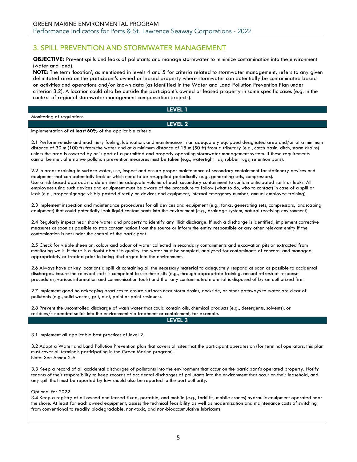# <span id="page-4-0"></span>3. SPILL PREVENTION AND STORMWATER MANAGEMENT

**OBJECTIVE:** Prevent spills and leaks of pollutants and manage stormwater to minimize contamination into the environment (water and land).

**NOTE:** The term 'location', as mentioned in levels 4 and 5 for criteria related to stormwater management, refers to any given delimitated area on the participant's owned or leased property where stormwater can potentially be contaminated based on activities and operations and/or known data (as identified in the Water and Land Pollution Prevention Plan under criterion 3.2). A location could also be outside the participant's owned or leased property in some specific cases (e.g. in the context of regional stormwater management compensation projects).

Monitoring of regulations

**LEVEL 1 LEVEL 2**

#### Implementation of **at least 60%** of the applicable criteria

2.1 Perform vehicle and machinery fueling, lubrication, and maintenance in an adequately equipped designated area and/or at a minimum distance of 30 m (100 ft) from the water and at a minimum distance of 15 m (50 ft) from a tributary (e.g., catch basin, ditch, storm drains) unless the area is covered by or is part of a permitted and properly operating stormwater management system. If these requirements cannot be met, alternative pollution prevention measures must be taken (e.g., watertight lids, rubber rugs, retention pans).

2.2 In areas draining to surface water, use, inspect and ensure proper maintenance of secondary containment for stationary devices and equipment that can potentially leak or which need to be resupplied periodically (e.g., generating sets, compressors). Use a risk-based approach to determine the adequate volume of each secondary containment to contain anticipated spills or leaks. All employees using such devices and equipment must be aware of the procedure to follow (what to do, who to contact) in case of a spill or leak (e.g., proper signage visibly posted directly on devices and equipment, internal emergency number, annual employee training).

2.3 Implement inspection and maintenance procedures for all devices and equipment (e.g., tanks, generating sets, compressors, landscaping equipment) that could potentially leak liquid contaminants into the environment (e.g., drainage system, natural receiving environment).

2.4 Regularly inspect near shore water and property to identify any illicit discharge. If such a discharge is identified, implement corrective measures as soon as possible to stop contamination from the source or inform the entity responsible or any other relevant entity If the contamination is not under the control of the participant.

2.5 Check for visible sheen on, colour and odour of water collected in secondary containments and excavation pits or extracted from monitoring wells. If there is a doubt about its quality, the water must be sampled, analyzed for contaminants of concern, and managed appropriately or treated prior to being discharged into the environment.

2.6 Always have at key locations a spill kit containing all the necessary material to adequately respond as soon as possible to accidental discharges. Ensure the relevant staff is competent to use these kits (e.g., through appropriate training, annual refresh of response procedures, various information and communication tools) and that any contaminated material is disposed of by an authorized firm.

2.7 Implement good housekeeping practices to ensure surfaces near storm drains, dockside, or other pathways to water are clear of pollutants (e.g., solid wastes, grit, dust, paint or paint residues).

2.8 Prevent the uncontrolled discharge of wash water that could contain oils, chemical products (e.g., detergents, solvents), or residues/suspended solids into the environment via treatment or containment, for example.

**LEVEL 3**

3.1 Implement all applicable best practices of level 2.

3.2 Adopt a Water and Land Pollution Prevention plan that covers all sites that the participant operates on (for terminal operators, this plan must cover all terminals participating in the Green Marine program). Note: See Annex 2-A.

3.3 Keep a record of all accidental discharges of pollutants into the environment that occur on the participant's operated property. Notify tenants of their responsibility to keep records of accidental discharges of pollutants into the environment that occur on their leasehold, and any spill that must be reported by law should also be reported to the port authority.

Optional for 2022

3.4 Keep a registry of all owned and leased fixed, portable, and mobile (e.g., forklifts, mobile cranes) hydraulic equipment operated near the shore. At least for each owned equipment, assess the technical feasibility as well as modernization and maintenance costs of switching from conventional to readily biodegradable, non-toxic, and non-bioaccumulative lubricants.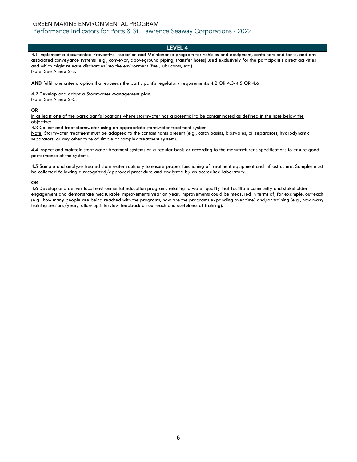4.1 Implement a documented Preventive Inspection and Maintenance program for vehicles and equipment, containers and tanks, and any associated conveyance systems (e.g., conveyor, aboveground piping, transfer hoses) used exclusively for the participant's direct activities and which might release discharges into the environment (fuel, lubricants, etc.). Note: See Annex 2-B.

**AND** fulfill one criteria option that exceeds the participant's regulatory requirements: 4.2 OR 4.3-4.5 OR 4.6

4.2 Develop and adopt a Stormwater Management plan. Note: See Annex 2-C.

#### **OR**

In at least **one** of the participant's locations where stormwater has a potential to be contaminated as defined in the note below the objective:

4.3 Collect and treat stormwater using an appropriate stormwater treatment system.

Note: Stormwater treatment must be adapted to the contaminants present (e.g., catch basins, bioswales, oil separators, hydrodynamic separators, or any other type of simple or complex treatment system).

4.4 Inspect and maintain stormwater treatment systems on a regular basis or according to the manufacturer's specifications to ensure good performance of the systems.

4.5 Sample and analyze treated stormwater routinely to ensure proper functioning of treatment equipment and infrastructure. Samples must be collected following a recognized/approved procedure and analyzed by an accredited laboratory.

#### **OR**

4.6 Develop and deliver local environmental education programs relating to water quality that facilitate community and stakeholder engagement and demonstrate measurable improvements year on year. Improvements could be measured in terms of, for example, outreach (e.g., how many people are being reached with the programs, how are the programs expanding over time) and/or training (e.g., how many training sessions/year, follow up interview feedback on outreach and usefulness of training).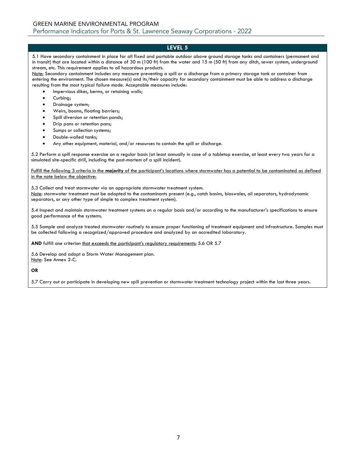5.1 Have secondary containment in place for all fixed and portable outdoor above ground storage tanks and containers (permanent and in transit) that are located within a distance of 30 m (100 ft) from the water and 15 m (50 ft) from any ditch, sewer system, underground stream, etc. This requirement applies to all hazardous products.

Note: Secondary containment includes any measure preventing a spill or a discharge from a primary storage tank or container from entering the environment. The chosen measure(s) and its/their capacity for secondary containment must be able to address a discharge resulting from the most typical failure mode. Acceptable measures include:

- Impervious dikes, berms, or retaining walls;
- Curbing;
- Drainage system;
- Weirs, booms, floating barriers;
- Spill diversion or retention ponds;
- Drip pans or retention pans;
- Sumps or collection systems;
- Double-walled tanks;
- Any other equipment, material, and/or resources to contain the spill or discharge.

5.2 Perform a spill response exercise on a regular basis (at least annually in case of a tabletop exercise, at least every two years for a simulated site-specific drill, including the post-mortem of a spill incident).

Fulfill the following 3 criteria in the **majority** of the participant's locations where stormwater has a potential to be contaminated as defined in the note below the objective:

5.3 Collect and treat stormwater via an appropriate stormwater treatment system. Note: stormwater treatment must be adapted to the contaminants present (e.g., catch basins, bioswales, oil separators, hydrodynamic separators, or any other type of simple to complex treatment system).

5.4 Inspect and maintain stormwater treatment systems on a regular basis and/or according to the manufacturer's specifications to ensure good performance of the systems.

5.5 Sample and analyze treated stormwater routinely to ensure proper functioning of treatment equipment and infrastructure. Samples must be collected following a recognized/approved procedure and analyzed by an accredited laboratory.

AND fulfill one criterion that exceeds the participant's regulatory requirements: 5.6 OR 5.7

5.6 Develop and adopt a Storm Water Management plan. Note: See Annex 2-C.

## **OR**

5.7 Carry out or participate in developing new spill prevention or stormwater treatment technology project within the last three years.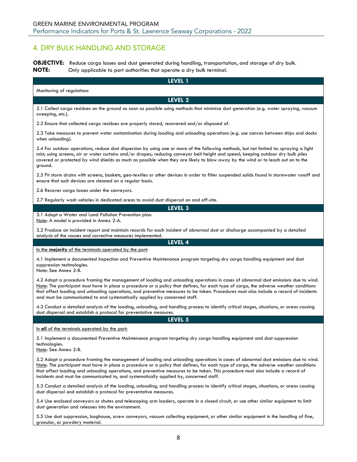# <span id="page-7-0"></span>4. DRY BULK HANDLING AND STORAGE

**OBJECTIVE:** Reduce cargo losses and dust generated during handling, transportation, and storage of dry bulk. **NOTE:** Only applicable to port authorities that operate a dry bulk terminal.

**LEVEL 1** Monitoring of regulations **LEVEL 2** 2.1 Collect cargo residues on the ground as soon as possible using methods that minimize dust generation (e.g. water spraying, vacuum sweeping, etc.). 2.2 Ensure that collected cargo residues are properly stored, recovered and/or disposed of. 2.3 Take measures to prevent water contamination during loading and unloading operations (e.g. use canvas between ships and docks when unloading). 2.4 For outdoor operations, reduce dust dispersion by using one or more of the following methods, but not limited to: spraying a light mist; using screens, air or water curtains and/or drapes; reducing conveyor belt height and speed; keeping outdoor dry bulk piles covered or protected by wind shields as much as possible when they are likely to blow away by the wind or to leach out on to the ground. 2.5 Fit storm drains with screens, baskets, geo-textiles or other devices in order to filter suspended solids found in stormwater runoff and ensure that such devices are cleaned on a regular basis. 2.6 Recover cargo losses under the conveyors. 2.7 Regularly wash vehicles in dedicated areas to avoid dust dispersal on and off-site. **LEVEL 3** 3.1 Adopt a Water and Land Pollution Prevention plan. Note: A model is provided in Annex 2-A. 3.2 Produce an incident report and maintain records for each incident of abnormal dust or discharge accompanied by a detailed analysis of the causes and corrective measures implemented. **LEVEL 4** In the **majority** of the terminals operated by the port: 4.1 Implement a documented Inspection and Preventive Maintenance program targeting dry cargo handling equipment and dust suppression technologies. Note: See Annex 2-B. 4.2 Adopt a procedure framing the management of loading and unloading operations in cases of abnormal dust emissions due to wind. Note: The participant must have in place a procedure or a policy that defines, for each type of cargo, the adverse weather conditions that affect loading and unloading operations, and preventive measures to be taken. Procedures must also include a record of incidents and must be communicated to and systematically applied by concerned staff. 4.3 Conduct a detailed analysis of the loading, unloading, and handling process to identify critical stages, situations, or areas causing dust dispersal and establish a protocol for preventative measures. **LEVEL 5** In **all** of the terminals operated by the port: 5.1 Implement a documented Preventive Maintenance program targeting dry cargo handling equipment and dust suppression technologies. Note: See Annex 2-B. 5.2 Adopt a procedure framing the management of loading and unloading operations in cases of abnormal dust emissions due to wind. Note: The participant must have in place a procedure or a policy that defines, for each type of cargo, the adverse weather conditions that affect loading and unloading operations, and preventive measures to be taken. This procedure must also include a record of incidents and must be communicated to, and systematically applied by, concerned staff.

5.3 Conduct a detailed analysis of the loading, unloading, and handling process to identify critical stages, situations, or areas causing dust dispersal and establish a protocol for preventative measures.

5.4 Use enclosed conveyors or chutes and telescoping arm loaders, operate in a closed circuit, or use other similar equipment to limit dust generation and releases into the environment.

5.5 Use dust suppression, baghouse, screw conveyors, vacuum collecting equipment, or other similar equipment in the handling of fine, granular, or powdery material.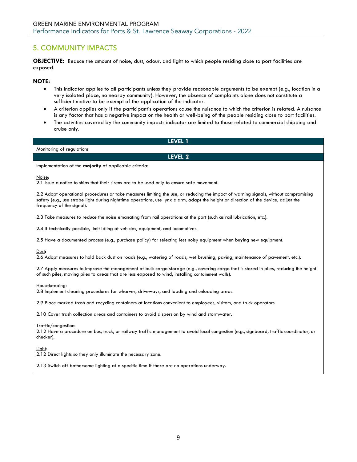# <span id="page-8-0"></span>5. COMMUNITY IMPACTS

**OBJECTIVE:** Reduce the amount of noise, dust, odour, and light to which people residing close to port facilities are exposed.

# **NOTE:**

- This indicator applies to all participants unless they provide reasonable arguments to be exempt (e.g., location in a very isolated place, no nearby community). However, the absence of complaints alone does not constitute a sufficient motive to be exempt of the application of the indicator.
- A criterion applies only if the participant's operations cause the nuisance to which the criterion is related. A nuisance is any factor that has a negative impact on the health or well-being of the people residing close to port facilities.
- The activities covered by the community impacts indicator are limited to those related to commercial shipping and cruise only.

| LEVEL 1                                                                                                                                                                                                                                                                                                 |
|---------------------------------------------------------------------------------------------------------------------------------------------------------------------------------------------------------------------------------------------------------------------------------------------------------|
| Monitoring of regulations                                                                                                                                                                                                                                                                               |
| <b>LEVEL 2</b>                                                                                                                                                                                                                                                                                          |
| Implementation of the majority of applicable criteria:                                                                                                                                                                                                                                                  |
| Noise:<br>2.1 Issue a notice to ships that their sirens are to be used only to ensure safe movement.                                                                                                                                                                                                    |
| 2.2 Adopt operational procedures or take measures limiting the use, or reducing the impact of warning signals, without compromising<br>safety (e.g., use strobe light during nighttime operations, use lynx alarm, adapt the height or direction of the device, adjust the<br>frequency of the signal). |
| 2.3 Take measures to reduce the noise emanating from rail operations at the port (such as rail lubrication, etc.).                                                                                                                                                                                      |
| 2.4 If technically possible, limit idling of vehicles, equipment, and locomotives.                                                                                                                                                                                                                      |
| 2.5 Have a documented process (e.g., purchase policy) for selecting less noisy equipment when buying new equipment.                                                                                                                                                                                     |
| Dust:<br>2.6 Adopt measures to hold back dust on roads (e.g., watering of roads, wet brushing, paving, maintenance of pavement, etc.).                                                                                                                                                                  |
| 2.7 Apply measures to improve the management of bulk cargo storage (e.g., covering cargo that is stored in piles, reducing the height<br>of such piles, moving piles to areas that are less exposed to wind, installing containment walls).                                                             |
| Housekeeping:<br>2.8 Implement cleaning procedures for wharves, driveways, and loading and unloading areas.                                                                                                                                                                                             |
| 2.9 Place marked trash and recycling containers at locations convenient to employees, visitors, and truck operators.                                                                                                                                                                                    |
| 2.10 Cover trash collection areas and containers to avoid dispersion by wind and stormwater.                                                                                                                                                                                                            |
| Traffic/congestion:                                                                                                                                                                                                                                                                                     |

2.12 Have a procedure on bus, truck, or railway traffic management to avoid local congestion (e.g., signboard, traffic coordinator, or checker).

Light:

2.12 Direct lights so they only illuminate the necessary zone.

2.13 Switch off bothersome lighting at a specific time if there are no operations underway.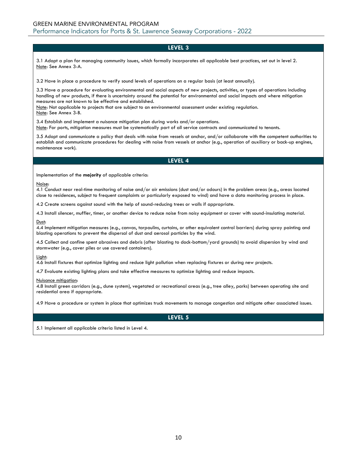3.1 Adopt a plan for managing community issues, which formally incorporates all applicable best practices, set out in level 2. Note: See Annex 3-A.

3.2 Have in place a procedure to verify sound levels of operations on a regular basis (at least annually).

3.3 Have a procedure for evaluating environmental and social aspects of new projects, activities, or types of operations including handling of new products, if there is uncertainty around the potential for environmental and social impacts and where mitigation measures are not known to be effective and established.

Note: Not applicable to projects that are subject to an environmental assessment under existing regulation. Note: See Annex 3-B.

3.4 Establish and implement a nuisance mitigation plan during works and/or operations. Note: For ports, mitigation measures must be systematically part of all service contracts and communicated to tenants.

3.5 Adopt and communicate a policy that deals with noise from vessels at anchor, and/or collaborate with the competent authorities to establish and communicate procedures for dealing with noise from vessels at anchor (e.g., operation of auxiliary or back-up engines, maintenance work).

## **LEVEL 4**

Implementation of the **majority** of applicable criteria:

#### Noise:

4.1 Conduct near real-time monitoring of noise and/or air emissions (dust and/or odours) in the problem areas (e.g., areas located close to residences, subject to frequent complaints or particularly exposed to wind) and have a data monitoring process in place.

4.2 Create screens against sound with the help of sound-reducing trees or walls if appropriate.

4.3 Install silencer, muffler, timer, or another device to reduce noise from noisy equipment or cover with sound-insulating material.

#### Dust:

4.4 Implement mitigation measures (e.g., canvas, tarpaulins, curtains, or other equivalent control barriers) during spray painting and blasting operations to prevent the dispersal of dust and aerosol particles by the wind.

4.5 Collect and confine spent abrasives and debris (after blasting to dock-bottom/yard grounds) to avoid dispersion by wind and stormwater (e.g., cover piles or use covered containers).

#### Light:

4.6 Install fixtures that optimize lighting and reduce light pollution when replacing fixtures or during new projects.

4.7 Evaluate existing lighting plans and take effective measures to optimize lighting and reduce impacts.

#### Nuisance mitigation:

4.8 Install green corridors (e.g., dune system), vegetated or recreational areas (e.g., tree alley, parks) between operating site and residential area if appropriate.

4.9 Have a procedure or system in place that optimizes truck movements to manage congestion and mitigate other associated issues.

**LEVEL 5**

5.1 Implement all applicable criteria listed in Level 4.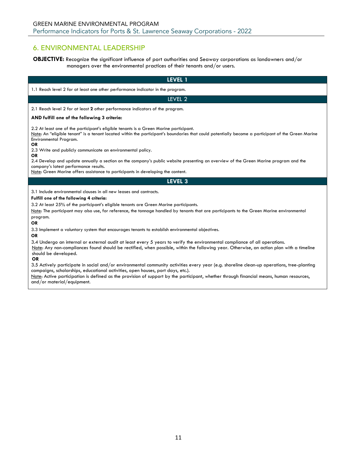# <span id="page-10-0"></span>6. ENVIRONMENTAL LEADERSHIP

**OBJECTIVE:** Recognize the significant influence of port authorities and Seaway corporations as landowners and/or managers over the environmental practices of their tenants and/or users.

| LEVEL 1                                                                                                                                                                                                                                                                                                                                                                                                                                                                                       |
|-----------------------------------------------------------------------------------------------------------------------------------------------------------------------------------------------------------------------------------------------------------------------------------------------------------------------------------------------------------------------------------------------------------------------------------------------------------------------------------------------|
| 1.1 Reach level 2 for at least one other performance indicator in the program.                                                                                                                                                                                                                                                                                                                                                                                                                |
| LEVEL 2                                                                                                                                                                                                                                                                                                                                                                                                                                                                                       |
| 2.1 Reach level 2 for at least 2 other performance indicators of the program.                                                                                                                                                                                                                                                                                                                                                                                                                 |
| AND fulfill one of the following 3 criteria:                                                                                                                                                                                                                                                                                                                                                                                                                                                  |
| 2.2 At least one of the participant's eligible tenants is a Green Marine participant.<br>Note: An "eligible tenant" is a tenant located within the participant's boundaries that could potentially become a participant of the Green Marine<br>Environmental Program.<br><b>OR</b>                                                                                                                                                                                                            |
| 2.3 Write and publicly communicate an environmental policy.<br><b>OR</b>                                                                                                                                                                                                                                                                                                                                                                                                                      |
| 2.4 Develop and update annually a section on the company's public website presenting an overview of the Green Marine program and the<br>company's latest performance results.<br>Note: Green Marine offers assistance to participants in developing the content.                                                                                                                                                                                                                              |
| LEVEL 3                                                                                                                                                                                                                                                                                                                                                                                                                                                                                       |
| 3.1 Include environmental clauses in all new leases and contracts.<br>Fulfill one of the following 4 criteria:<br>3.2 At least 25% of the participant's eligible tenants are Green Marine participants.<br>Note: The participant may also use, for reference, the tonnage handled by tenants that are participants to the Green Marine environmental<br>program.<br><b>OR</b><br>3.3 Implement a voluntary system that encourages tenants to establish environmental objectives.<br><b>OR</b> |
| 3.4 Undergo an internal or external audit at least every 5 years to verify the environmental compliance of all operations.<br>Note: Any non-compliances found should be rectified, when possible, within the following year. Otherwise, an action plan with a timeline<br>should be developed.<br><b>OR</b>                                                                                                                                                                                   |
| 3.5 Actively participate in social and/or environmental community activities every year (e.g. shoreline clean-up operations, tree-planting<br>campaigns, scholarships, educational activities, open houses, port days, etc.).<br>Note: Active participation is defined as the provision of support by the participant, whether through financial means, human resources,<br>and/or material/equipment.                                                                                        |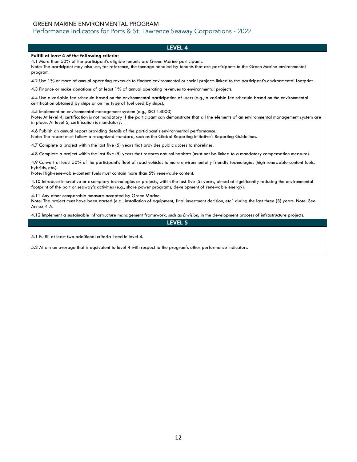#### **Fulfill at least 4 of the following criteria:**

4.1 More than 50% of the participant's eligible tenants are Green Marine participants.

Note: The participant may also use, for reference, the tonnage handled by tenants that are participants to the Green Marine environmental program.

4.2 Use 1% or more of annual operating revenues to finance environmental or social projects linked to the participant's environmental footprint.

4.3 Finance or make donations of at least 1% of annual operating revenues to environmental projects.

4.4 Use a variable fee schedule based on the environmental participation of users (e.g., a variable fee schedule based on the environmental certification obtained by ships or on the type of fuel used by ships).

4.5 Implement an environmental management system (e.g., ISO 14000).

Note: At level 4, certification is not mandatory if the participant can demonstrate that all the elements of an environmental management system are in place. At level 5, certification is mandatory.

4.6 Publish an annual report providing details of the participant's environmental performance.

Note: The report must follow a recognized standard, such as the Global Reporting Initiative's Reporting Guidelines.

4.7 Complete a project within the last five (5) years that provides public access to shorelines.

4.8 Complete a project within the last five (5) years that restores natural habitats (must not be linked to a mandatory compensation measure).

4.9 Convert at least 50% of the participant's fleet of road vehicles to more environmentally friendly technologies (high-renewable-content fuels, hybrids, etc.).

Note: High-renewable-content fuels must contain more than 5% renewable content.

4.10 Introduce innovative or exemplary technologies or projects, within the last five (5) years, aimed at significantly reducing the environmental footprint of the port or seaway's activities (e.g., shore power programs, development of renewable energy).

4.11 Any other comparable measure accepted by Green Marine.

Note: The project must have been started (e.g., installation of equipment, final investment decision, etc.) during the last three (3) years. Note: See Annex 4-A.

4.12 Implement a sustainable infrastructure management framework, such as *Envision*, in the development process of infrastructure projects.

**LEVEL 5**

5.1 Fulfill at least two additional criteria listed in level 4.

5.2 Attain an average that is equivalent to level 4 with respect to the program's other performance indicators.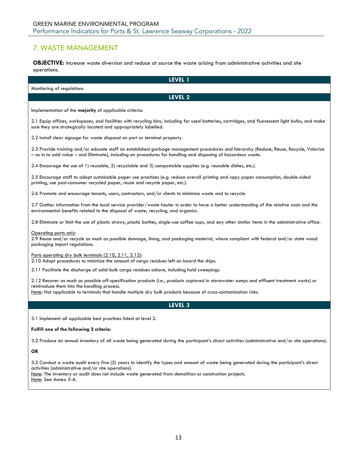# <span id="page-12-0"></span>7. WASTE MANAGEMENT

**OBJECTIVE:** Increase waste diversion and reduce at source the waste arising from administrative activities and site operations.

| LEVEL 1                                                                                                                                                                                                                                                                                                                            |
|------------------------------------------------------------------------------------------------------------------------------------------------------------------------------------------------------------------------------------------------------------------------------------------------------------------------------------|
| Monitoring of regulations                                                                                                                                                                                                                                                                                                          |
| LEVEL 2                                                                                                                                                                                                                                                                                                                            |
| Implementation of the majority of applicable criteria:                                                                                                                                                                                                                                                                             |
| 2.1 Equip offices, workspaces, and facilities with recycling bins, including for used batteries, cartridges, and fluorescent light bulbs, and make<br>sure they are strategically located and appropriately labelled.                                                                                                              |
| 2.2 Install clear signage for waste disposal on port or terminal property.                                                                                                                                                                                                                                                         |
| 2.3 Provide training and/or educate staff on established garbage management procedures and hierarchy (Reduce, Reuse, Recycle, Valorize<br>- as in to add value - and Eliminate), including on procedures for handling and disposing of hazardous waste.                                                                            |
| 2.4 Encourage the use of 1) reusable, 2) recyclable and 3) compostable supplies (e.g. reusable dishes, etc.).                                                                                                                                                                                                                      |
| 2.5 Encourage staff to adopt sustainable paper use practices (e.g. reduce overall printing and copy paper consumption, double-sided<br>printing, use post-consumer recycled paper, reuse and recycle paper, etc.).                                                                                                                 |
| 2.6 Promote and encourage tenants, users, contractors, and/or clients to minimize waste and to recycle.                                                                                                                                                                                                                            |
| 2.7 Gather information from the local service provider/waste hauler in order to have a better understanding of the relative costs and the<br>environmental benefits related to the disposal of waste, recycling, and organics.                                                                                                     |
| 2.8 Eliminate or limit the use of plastic straws, plastic bottles, single-use coffee cups, and any other similar items in the administrative office.                                                                                                                                                                               |
| Operating ports only:<br>2.9 Reuse and/or recycle as much as possible dunnage, lining, and packaging material, where compliant with federal and/or state wood<br>packaging import regulations.                                                                                                                                     |
| Ports operating dry bulk terminals (2.10, 2.11, 2.12):<br>2.10 Adopt procedures to minimize the amount of cargo residues left on board the ships.                                                                                                                                                                                  |
| 2.11 Facilitate the discharge of solid bulk cargo residues ashore, including hold sweepings.                                                                                                                                                                                                                                       |
| 2.12 Recover as much as possible off-specification products (i.e., products captured in stormwater sumps and effluent treatment works) or<br>reintroduce them into the handling process.<br>Note: Not applicable to terminals that handle multiple dry bulk products because of cross-contamination risks.                         |
| LEVEL <sub>3</sub>                                                                                                                                                                                                                                                                                                                 |
| 3.1 Implement all applicable best practices listed at level 2.                                                                                                                                                                                                                                                                     |
| Fulfill one of the following 2 criteria:                                                                                                                                                                                                                                                                                           |
| 3.2 Produce an annual inventory of all waste being generated during the participant's direct activities (administrative and/or site operations).                                                                                                                                                                                   |
| <b>OR</b>                                                                                                                                                                                                                                                                                                                          |
| 3.3 Conduct a waste audit every five (5) years to identify the types and amount of waste being generated during the participant's direct<br>activities (administrative and/or site operations).<br>Note: The inventory or audit does not include waste generated from demolition or construction projects.<br>Note: See Annex 5-A. |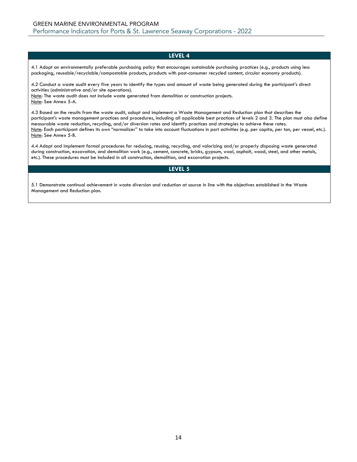4.1 Adopt an environmentally preferable purchasing policy that encourages sustainable purchasing practices (e.g., products using less packaging, reusable/recyclable/compostable products, products with post-consumer recycled content, circular economy products).

4.2 Conduct a waste audit every five years to identify the types and amount of waste being generated during the participant's direct activities (administrative and/or site operations).

Note: The waste audit does not include waste generated from demolition or construction projects. Note: See Annex 5-A.

4.3 Based on the results from the waste audit, adopt and implement a Waste Management and Reduction plan that describes the participant's waste management practices and procedures, including all applicable best practices of levels 2 and 3. The plan must also define measurable waste reduction, recycling, and/or diversion rates and identify practices and strategies to achieve these rates. Note: Each participant defines its own "normalizer" to take into account fluctuations in port activities (e.g. per capita, per ton, per vessel, etc.). Note: See Annex 5-B.

4.4 Adopt and implement formal procedures for reducing, reusing, recycling, and valorizing and/or properly disposing waste generated during construction, excavation, and demolition work (e.g., cement, concrete, bricks, gypsum, wool, asphalt, wood, steel, and other metals, etc.). These procedures must be included in all construction, demolition, and excavation projects.

#### **LEVEL 5**

5.1 Demonstrate continual achievement in waste diversion and reduction at source in line with the objectives established in the Waste Management and Reduction plan.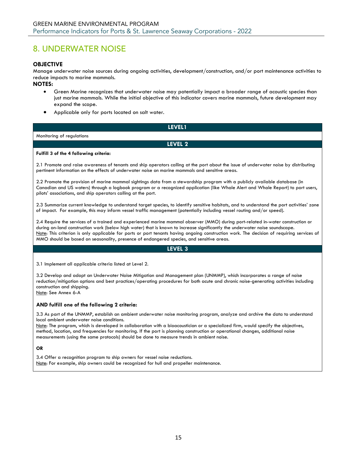# <span id="page-14-0"></span>8. UNDERWATER NOISE

# **OBJECTIVE**

Manage underwater noise sources during ongoing activities, development/construction, and/or port maintenance activities to reduce impacts to marine mammals.

# **NOTES:**

- Green Marine recognizes that underwater noise may potentially impact a broader range of acoustic species than just marine mammals. While the initial objective of this indicator covers marine mammals, future development may expand the scope.
- Applicable only for ports located on salt water.

| LEVEL1                                                                                                                                                                                                                                                                                                                           |
|----------------------------------------------------------------------------------------------------------------------------------------------------------------------------------------------------------------------------------------------------------------------------------------------------------------------------------|
| Monitoring of regulations                                                                                                                                                                                                                                                                                                        |
| LEVEL 2                                                                                                                                                                                                                                                                                                                          |
| Fulfill 3 of the 4 following criteria:                                                                                                                                                                                                                                                                                           |
| 2.1 Promote and raise awareness of tenants and ship operators calling at the port about the issue of underwater noise by distributing<br>pertinent information on the effects of underwater noise on marine mammals and sensitive areas.                                                                                         |
| 2.2 Promote the provision of marine mammal sightings data from a stewardship program with a publicly available database (in<br>Canadian and US waters) through a logbook program or a recognized application (like Whale Alert and Whale Report) to port users,<br>pilots' associations, and ship operators calling at the port. |
| 2.3 Summarize current knowledge to understand target species, to identify sensitive habitats, and to understand the port activities' zone<br>of impact. For example, this may inform vessel traffic management (potentially including vessel routing and/or speed).                                                              |

2.4 Require the services of a trained and experienced marine mammal observer (MMO) during port-related in-water construction or during on-land construction work (below high water) that is known to increase significantly the underwater noise soundscape. Note: This criterion is only applicable for ports or port tenants having ongoing construction work. The decision of requiring services of MMO should be based on seasonality, presence of endangered species, and sensitive areas.

## **LEVEL 3**

3.1 Implement all applicable criteria listed at Level 2.

3.2 Develop and adopt an Underwater Noise Mitigation and Management plan (UNMMP), which incorporates a range of noise reduction/mitigation options and best practices/operating procedures for both acute and chronic noise-generating activities including construction and shipping. Note: See Annex 6-A

# **AND fulfill one of the following 2 criteria:**

3.3 As part of the UNMMP, establish an ambient underwater noise monitoring program, analyze and archive the data to understand local ambient underwater noise conditions.

Note: The program, which is developed in collaboration with a bioacoustician or a specialized firm, would specify the objectives, method, location, and frequencies for monitoring. If the port is planning construction or operational changes, additional noise measurements (using the same protocols) should be done to measure trends in ambient noise.

#### **OR**

3.4 Offer a recognition program to ship owners for vessel noise reductions. Note: For example, ship owners could be recognized for hull and propeller maintenance.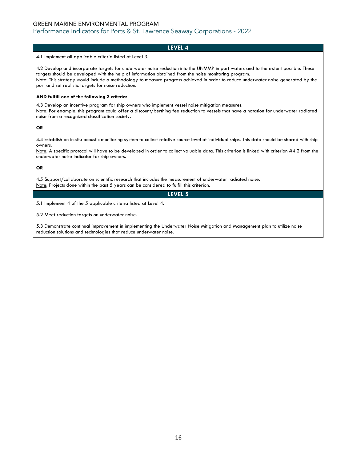4.1 Implement all applicable criteria listed at Level 3.

4.2 Develop and incorporate targets for underwater noise reduction into the UNMMP in port waters and to the extent possible. These targets should be developed with the help of information obtained from the noise monitoring program. Note: This strategy would include a methodology to measure progress achieved in order to reduce underwater noise generated by the port and set realistic targets for noise reduction.

#### **AND fulfill one of the following 3 criteria:**

4.3 Develop an incentive program for ship owners who implement vessel noise mitigation measures. Note: For example, this program could offer a discount/berthing fee reduction to vessels that have a notation for underwater radiated noise from a recognized classification society.

#### **OR**

4.4 Establish an in-situ acoustic monitoring system to collect relative source level of individual ships. This data should be shared with ship owners.

Note: A specific protocol will have to be developed in order to collect valuable data. This criterion is linked with criterion #4.2 from the underwater noise indicator for ship owners.

#### **OR**

4.5 Support/collaborate on scientific research that includes the measurement of underwater radiated noise. Note: Projects done within the past 5 years can be considered to fulfill this criterion.

# **LEVEL 5**

5.1 Implement 4 of the 5 applicable criteria listed at Level 4.

5.2 Meet reduction targets on underwater noise.

5.3 Demonstrate continual improvement in implementing the Underwater Noise Mitigation and Management plan to utilize noise reduction solutions and technologies that reduce underwater noise.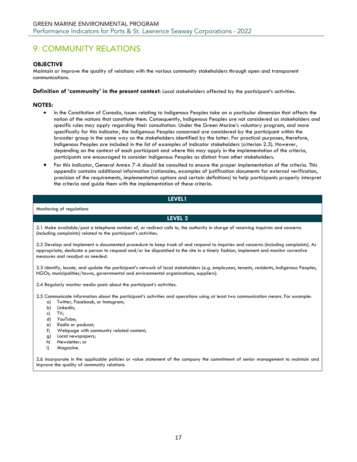# <span id="page-16-0"></span>9. COMMUNITY RELATIONS

# **OBJECTIVE**

Maintain or improve the quality of relations with the various community stakeholders through open and transparent communications.

**Definition of 'community' in the present context**: Local stakeholders affected by the participant's activities.

## **NOTES:**

- In the Constitution of Canada, issues relating to Indigenous Peoples take on a particular dimension that affects the notion of the nations that constitute them. Consequently, Indigenous Peoples are not considered as stakeholders and specific rules may apply regarding their consultation. Under the Green Marine's voluntary program, and more specifically for this indicator, the Indigenous Peoples concerned are considered by the participant within the broader group in the same way as the stakeholders identified by the latter. For practical purposes, therefore, Indigenous Peoples are included in the list of examples of indicator stakeholders (criterion 2.3). However, depending on the context of each participant and where this may apply in the implementation of the criteria, participants are encouraged to consider Indigenous Peoples as distinct from other stakeholders.
- For this indicator, General Annex 7-A should be consulted to ensure the proper implementation of the criteria. This appendix contains additional information (rationales, examples of justification documents for external verification, precision of the requirements, implementation options and certain definitions) to help participants properly interpret the criteria and guide them with the implementation of these criteria.

# **LEVEL1**

Monitoring of regulations

**LEVEL 2**

2.1 Make available/post a telephone number of, or redirect calls to, the authority in charge of receiving inquiries and concerns (including complaints) related to the participant's activities.

2.2 Develop and implement a documented procedure to keep track of and respond to inquiries and concerns (including complaints). As appropriate, dedicate a person to respond and/or be dispatched to the site in a timely fashion, implement and monitor corrective measures and readjust as needed.

2.3 Identify, locate, and update the participant's network of local stakeholders (e.g. employees, tenants, residents, Indigenous Peoples, NGOs, municipalities/towns, governmental and environmental organizations, suppliers).

2.4 Regularly monitor media posts about the participant's activities.

2.5 Communicate information about the participant's activities and operations using at least two communication means. For example:

- a) Twitter, Facebook, or Instagram;
- b) LinkedIn;
- c) TV;
- d) YouTube;
- e) Radio or podcast;
- f) Webpage with community related content;
- g) Local newspapers;
- h) Newsletter; or
- i) Magazine.

2.6 Incorporate in the applicable policies or value statement of the company the commitment of senior management to maintain and improve the quality of community relations.